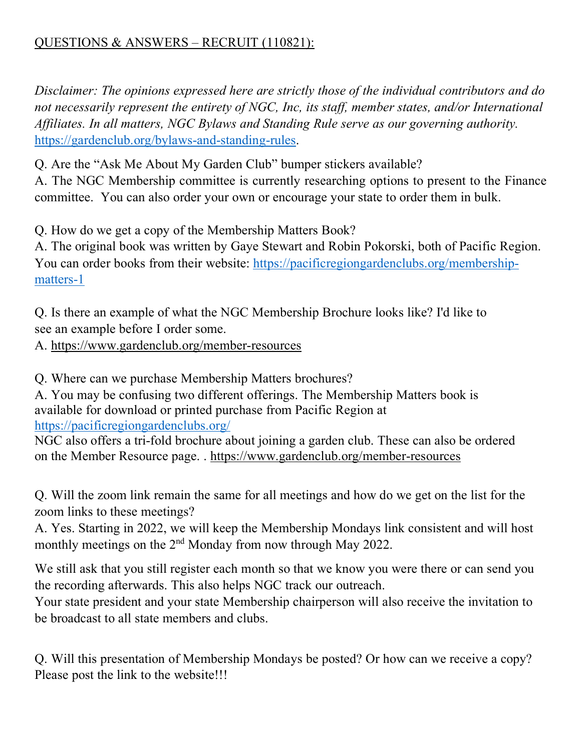## QUESTIONS & ANSWERS – RECRUIT (110821):

*Disclaimer: The opinions expressed here are strictly those of the individual contributors and do not necessarily represent the entirety of NGC, Inc, its staff, member states, and/or International Affiliates. In all matters, NGC Bylaws and Standing Rule serve as our governing authority.*  https://gardenclub.org/bylaws-and-standing-rules.

Q. Are the "Ask Me About My Garden Club" bumper stickers available?

A. The NGC Membership committee is currently researching options to present to the Finance committee. You can also order your own or encourage your state to order them in bulk.

Q. How do we get a copy of the Membership Matters Book?

A. The original book was written by Gaye Stewart and Robin Pokorski, both of Pacific Region. You can order books from their website: https://pacificregiongardenclubs.org/membershipmatters-1

Q. Is there an example of what the NGC Membership Brochure looks like? I'd like to see an example before I order some.

A. https://www.gardenclub.org/member-resources

Q. Where can we purchase Membership Matters brochures?

A. You may be confusing two different offerings. The Membership Matters book is available for download or printed purchase from Pacific Region at https://pacificregiongardenclubs.org/

NGC also offers a tri-fold brochure about joining a garden club. These can also be ordered on the Member Resource page. . https://www.gardenclub.org/member-resources

Q. Will the zoom link remain the same for all meetings and how do we get on the list for the zoom links to these meetings?

A. Yes. Starting in 2022, we will keep the Membership Mondays link consistent and will host monthly meetings on the 2<sup>nd</sup> Monday from now through May 2022.

We still ask that you still register each month so that we know you were there or can send you the recording afterwards. This also helps NGC track our outreach.

Your state president and your state Membership chairperson will also receive the invitation to be broadcast to all state members and clubs.

Q. Will this presentation of Membership Mondays be posted? Or how can we receive a copy? Please post the link to the website!!!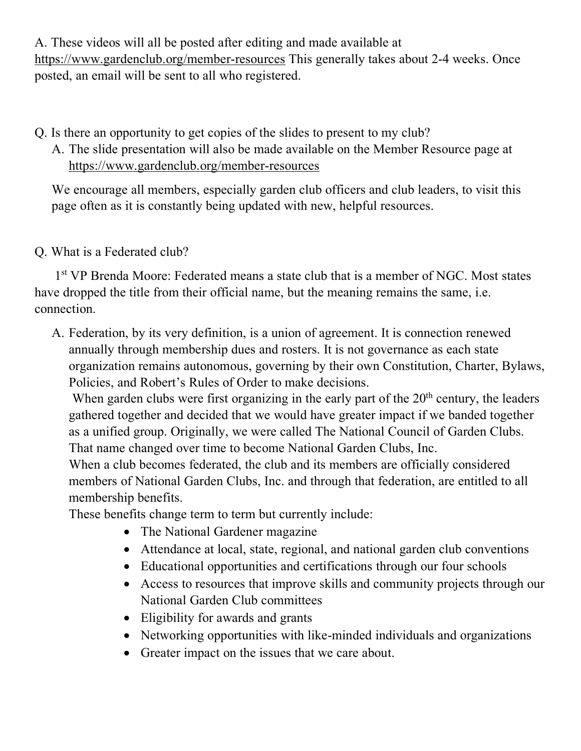A. These videos will all be posted after editing and made available at https://www.gardenclub.org/member-resources This generally takes about 2-4 weeks. Once posted, an email will be sent to all who registered.

Q. Is there an opportunity to get copies of the slides to present to my club?

A. The slide presentation will also be made available on the Member Resource page at https://www.gardenclub.org/member-resources

We encourage all members, especially garden club officers and club leaders, to visit this page often as it is constantly being updated with new, helpful resources.

## Q. What is a Federated club?

1<sup>st</sup> VP Brenda Moore: Federated means a state club that is a member of NGC. Most states have dropped the title from their official name, but the meaning remains the same, i.e. connection.

A. Federation, by its very definition, is a union of agreement. It is connection renewed annually through membership dues and rosters. It is not governance as each state organization remains autonomous, governing by their own Constitution, Charter, Bylaws, Policies, and Robert's Rules of Order to make decisions.

When garden clubs were first organizing in the early part of the  $20<sup>th</sup>$  century, the leaders gathered together and decided that we would have greater impact if we banded together as a unified group. Originally, we were called The National Council of Garden Clubs. That name changed over time to become National Garden Clubs, Inc.

When a club becomes federated, the club and its members are officially considered members of National Garden Clubs, Inc. and through that federation, are entitled to all membership benefits.

These benefits change term to term but currently include:

- The National Gardener magazine
- Attendance at local, state, regional, and national garden club conventions
- Educational opportunities and certifications through our four schools
- Access to resources that improve skills and community projects through our National Garden Club committees
- Eligibility for awards and grants
- Networking opportunities with like-minded individuals and organizations
- Greater impact on the issues that we care about.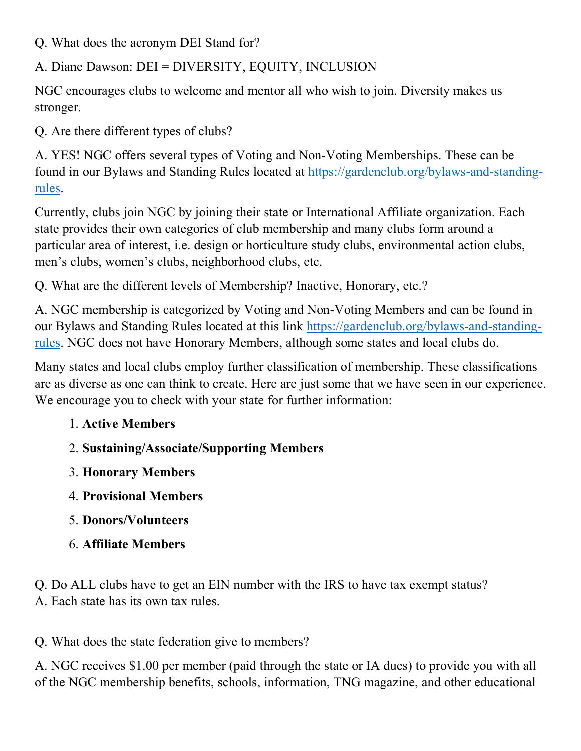Q. What does the acronym DEI Stand for?

A. Diane Dawson: DEI = DIVERSITY, EQUITY, INCLUSION

NGC encourages clubs to welcome and mentor all who wish to join. Diversity makes us stronger.

Q. Are there different types of clubs?

A. YES! NGC offers several types of Voting and Non-Voting Memberships. These can be found in our Bylaws and Standing Rules located at https://gardenclub.org/bylaws-and-standingrules.

Currently, clubs join NGC by joining their state or International Affiliate organization. Each state provides their own categories of club membership and many clubs form around a particular area of interest, i.e. design or horticulture study clubs, environmental action clubs, men's clubs, women's clubs, neighborhood clubs, etc.

Q. What are the different levels of Membership? Inactive, Honorary, etc.?

A. NGC membership is categorized by Voting and Non-Voting Members and can be found in our Bylaws and Standing Rules located at this link https://gardenclub.org/bylaws-and-standingrules. NGC does not have Honorary Members, although some states and local clubs do.

Many states and local clubs employ further classification of membership. These classifications are as diverse as one can think to create. Here are just some that we have seen in our experience. We encourage you to check with your state for further information:

- 1. **Active Members**
- 2. **Sustaining/Associate/Supporting Members**
- 3. **Honorary Members**
- 4. **Provisional Members**
- 5. **Donors/Volunteers**
- 6. **Affiliate Members**

Q. Do ALL clubs have to get an EIN number with the IRS to have tax exempt status? A. Each state has its own tax rules.

Q. What does the state federation give to members?

A. NGC receives \$1.00 per member (paid through the state or IA dues) to provide you with all of the NGC membership benefits, schools, information, TNG magazine, and other educational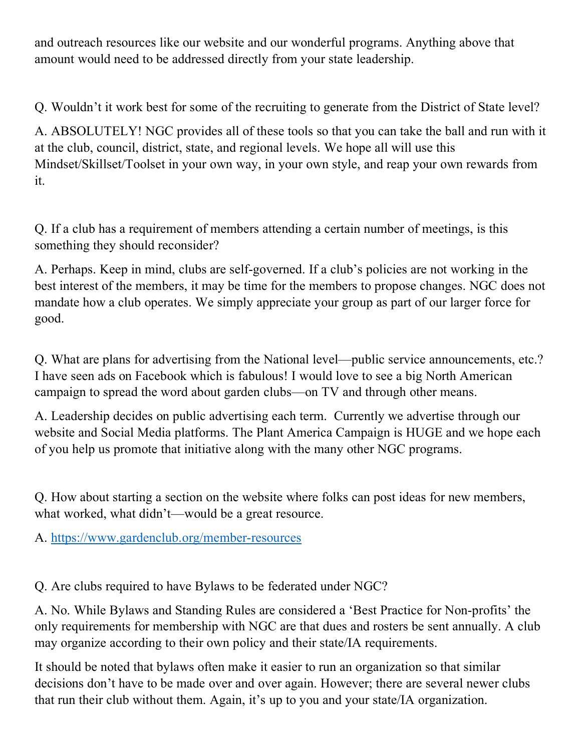and outreach resources like our website and our wonderful programs. Anything above that amount would need to be addressed directly from your state leadership.

Q. Wouldn't it work best for some of the recruiting to generate from the District of State level?

A. ABSOLUTELY! NGC provides all of these tools so that you can take the ball and run with it at the club, council, district, state, and regional levels. We hope all will use this Mindset/Skillset/Toolset in your own way, in your own style, and reap your own rewards from it.

Q. If a club has a requirement of members attending a certain number of meetings, is this something they should reconsider?

A. Perhaps. Keep in mind, clubs are self-governed. If a club's policies are not working in the best interest of the members, it may be time for the members to propose changes. NGC does not mandate how a club operates. We simply appreciate your group as part of our larger force for good.

Q. What are plans for advertising from the National level—public service announcements, etc.? I have seen ads on Facebook which is fabulous! I would love to see a big North American campaign to spread the word about garden clubs—on TV and through other means.

A. Leadership decides on public advertising each term. Currently we advertise through our website and Social Media platforms. The Plant America Campaign is HUGE and we hope each of you help us promote that initiative along with the many other NGC programs.

Q. How about starting a section on the website where folks can post ideas for new members, what worked, what didn't—would be a great resource.

A. https://www.gardenclub.org/member-resources

Q. Are clubs required to have Bylaws to be federated under NGC?

A. No. While Bylaws and Standing Rules are considered a 'Best Practice for Non-profits' the only requirements for membership with NGC are that dues and rosters be sent annually. A club may organize according to their own policy and their state/IA requirements.

It should be noted that bylaws often make it easier to run an organization so that similar decisions don't have to be made over and over again. However; there are several newer clubs that run their club without them. Again, it's up to you and your state/IA organization.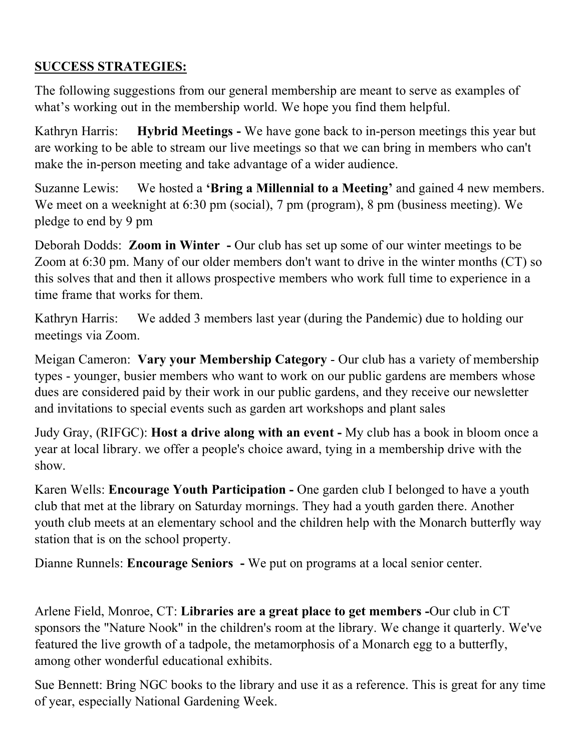## **SUCCESS STRATEGIES:**

The following suggestions from our general membership are meant to serve as examples of what's working out in the membership world. We hope you find them helpful.

Kathryn Harris: **Hybrid Meetings -** We have gone back to in-person meetings this year but are working to be able to stream our live meetings so that we can bring in members who can't make the in-person meeting and take advantage of a wider audience.

Suzanne Lewis: We hosted a **'Bring a Millennial to a Meeting'** and gained 4 new members. We meet on a weeknight at 6:30 pm (social), 7 pm (program), 8 pm (business meeting). We pledge to end by 9 pm

Deborah Dodds: **Zoom in Winter -** Our club has set up some of our winter meetings to be Zoom at 6:30 pm. Many of our older members don't want to drive in the winter months (CT) so this solves that and then it allows prospective members who work full time to experience in a time frame that works for them.

Kathryn Harris: We added 3 members last year (during the Pandemic) due to holding our meetings via Zoom.

Meigan Cameron: **Vary your Membership Category** - Our club has a variety of membership types - younger, busier members who want to work on our public gardens are members whose dues are considered paid by their work in our public gardens, and they receive our newsletter and invitations to special events such as garden art workshops and plant sales

Judy Gray, (RIFGC): **Host a drive along with an event -** My club has a book in bloom once a year at local library. we offer a people's choice award, tying in a membership drive with the show.

Karen Wells: **Encourage Youth Participation -** One garden club I belonged to have a youth club that met at the library on Saturday mornings. They had a youth garden there. Another youth club meets at an elementary school and the children help with the Monarch butterfly way station that is on the school property.

Dianne Runnels: **Encourage Seniors -** We put on programs at a local senior center.

Arlene Field, Monroe, CT: **Libraries are a great place to get members -**Our club in CT sponsors the "Nature Nook" in the children's room at the library. We change it quarterly. We've featured the live growth of a tadpole, the metamorphosis of a Monarch egg to a butterfly, among other wonderful educational exhibits.

Sue Bennett: Bring NGC books to the library and use it as a reference. This is great for any time of year, especially National Gardening Week.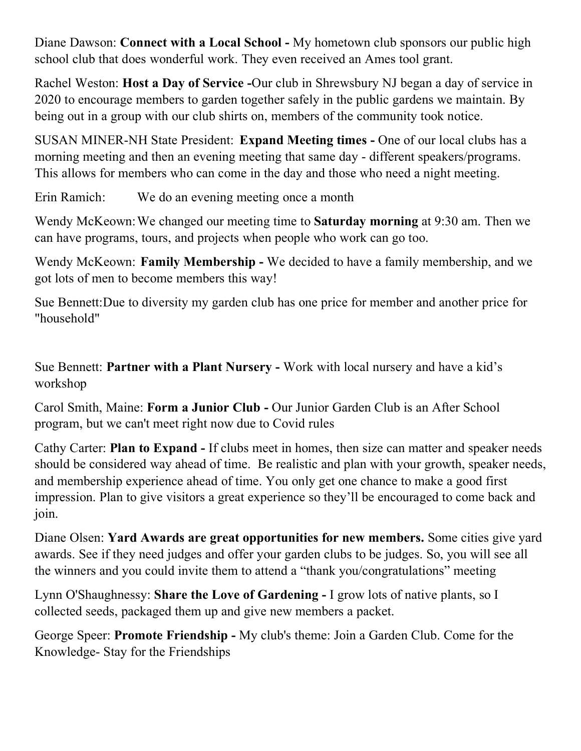Diane Dawson: **Connect with a Local School -** My hometown club sponsors our public high school club that does wonderful work. They even received an Ames tool grant.

Rachel Weston: **Host a Day of Service -**Our club in Shrewsbury NJ began a day of service in 2020 to encourage members to garden together safely in the public gardens we maintain. By being out in a group with our club shirts on, members of the community took notice.

SUSAN MINER-NH State President: **Expand Meeting times -** One of our local clubs has a morning meeting and then an evening meeting that same day - different speakers/programs. This allows for members who can come in the day and those who need a night meeting.

Erin Ramich: We do an evening meeting once a month

Wendy McKeown:We changed our meeting time to **Saturday morning** at 9:30 am. Then we can have programs, tours, and projects when people who work can go too.

Wendy McKeown: **Family Membership -** We decided to have a family membership, and we got lots of men to become members this way!

Sue Bennett:Due to diversity my garden club has one price for member and another price for "household"

Sue Bennett: **Partner with a Plant Nursery -** Work with local nursery and have a kid's workshop

Carol Smith, Maine: **Form a Junior Club -** Our Junior Garden Club is an After School program, but we can't meet right now due to Covid rules

Cathy Carter: **Plan to Expand -** If clubs meet in homes, then size can matter and speaker needs should be considered way ahead of time. Be realistic and plan with your growth, speaker needs, and membership experience ahead of time. You only get one chance to make a good first impression. Plan to give visitors a great experience so they'll be encouraged to come back and join.

Diane Olsen: **Yard Awards are great opportunities for new members.** Some cities give yard awards. See if they need judges and offer your garden clubs to be judges. So, you will see all the winners and you could invite them to attend a "thank you/congratulations" meeting

Lynn O'Shaughnessy: **Share the Love of Gardening -** I grow lots of native plants, so I collected seeds, packaged them up and give new members a packet.

George Speer: **Promote Friendship -** My club's theme: Join a Garden Club. Come for the Knowledge- Stay for the Friendships